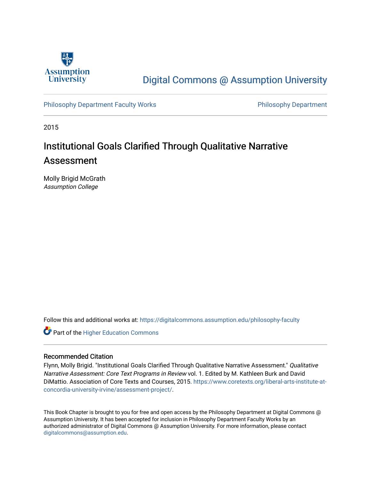

## [Digital Commons @ Assumption University](https://digitalcommons.assumption.edu/)

[Philosophy Department Faculty Works](https://digitalcommons.assumption.edu/philosophy-faculty) **Philosophy Department** 

2015

# Institutional Goals Clarified Through Qualitative Narrative Assessment

Molly Brigid McGrath Assumption College

Follow this and additional works at: [https://digitalcommons.assumption.edu/philosophy-faculty](https://digitalcommons.assumption.edu/philosophy-faculty?utm_source=digitalcommons.assumption.edu%2Fphilosophy-faculty%2F10&utm_medium=PDF&utm_campaign=PDFCoverPages) 

**Part of the Higher Education Commons** 

## Recommended Citation

Flynn, Molly Brigid. "Institutional Goals Clarified Through Qualitative Narrative Assessment." Qualitative Narrative Assessment: Core Text Programs in Review vol. 1. Edited by M. Kathleen Burk and David DiMattio. Association of Core Texts and Courses, 2015. [https://www.coretexts.org/liberal-arts-institute-at](https://www.coretexts.org/liberal-arts-institute-at-concordia-university-irvine/assessment-project/)[concordia-university-irvine/assessment-project/](https://www.coretexts.org/liberal-arts-institute-at-concordia-university-irvine/assessment-project/).

This Book Chapter is brought to you for free and open access by the Philosophy Department at Digital Commons @ Assumption University. It has been accepted for inclusion in Philosophy Department Faculty Works by an authorized administrator of Digital Commons @ Assumption University. For more information, please contact [digitalcommons@assumption.edu](mailto:digitalcommons@assumption.edu).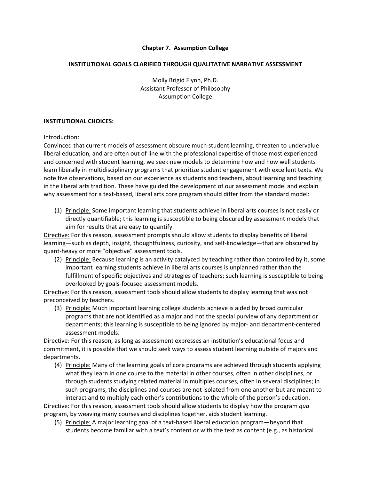## **Chapter 7. Assumption College**

#### **INSTITUTIONAL GOALS CLARIFIED THROUGH QUALITATIVE NARRATIVE ASSESSMENT**

Molly Brigid Flynn, Ph.D. Assistant Professor of Philosophy Assumption College

#### **INSTITUTIONAL CHOICES:**

Introduction:

Convinced that current models of assessment obscure much student learning, threaten to undervalue liberal education, and are often out of line with the professional expertise of those most experienced and concerned with student learning, we seek new models to determine how and how well students learn liberally in multidisciplinary programs that prioritize student engagement with excellent texts. We note five observations, based on our experience as students and teachers, about learning and teaching in the liberal arts tradition. These have guided the development of our assessment model and explain why assessment for a text-based, liberal arts core program should differ from the standard model:

(1) Principle: Some important learning that students achieve in liberal arts courses is not easily or directly quantifiable; this learning is susceptible to being obscured by assessment models that aim for results that are easy to quantify.

Directive: For this reason, assessment prompts should allow students to display benefits of liberal learning—such as depth, insight, thoughtfulness, curiosity, and self-knowledge—that are obscured by quant-heavy or more "objective" assessment tools.

(2) Principle: Because learning is an activity catalyzed by teaching rather than controlled by it, some important learning students achieve in liberal arts courses is unplanned rather than the fulfillment of specific objectives and strategies of teachers; such learning is susceptible to being overlooked by goals-focused assessment models.

Directive: For this reason, assessment tools should allow students to display learning that was not preconceived by teachers.

(3) Principle: Much important learning college students achieve is aided by broad curricular programs that are not identified as a major and not the special purview of any department or departments; this learning is susceptible to being ignored by major- and department-centered assessment models.

Directive: For this reason, as long as assessment expresses an institution's educational focus and commitment, it is possible that we should seek ways to assess student learning outside of majors and departments.

(4) Principle: Many of the learning goals of core programs are achieved through students applying what they learn in one course to the material in other courses, often in other disciplines, or through students studying related material in multiples courses, often in several disciplines; in such programs, the disciplines and courses are not isolated from one another but are meant to interact and to multiply each other's contributions to the whole of the person's education.

Directive: For this reason, assessment tools should allow students to display how the program *qua* program, by weaving many courses and disciplines together, aids student learning.

(5) Principle: A major learning goal of a text-based liberal education program—beyond that students become familiar with a text's content or with the text as content (e.g., as historical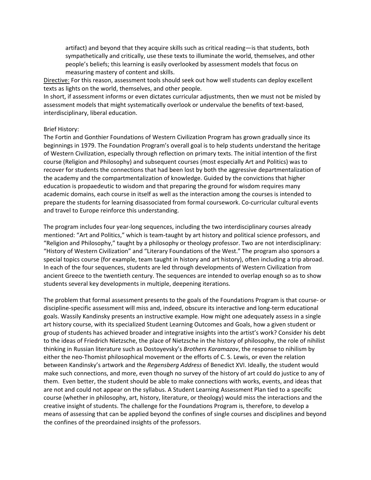artifact) and beyond that they acquire skills such as critical reading—is that students, both sympathetically and critically, use these texts to illuminate the world, themselves, and other people's beliefs; this learning is easily overlooked by assessment models that focus on measuring mastery of content and skills.

Directive: For this reason, assessment tools should seek out how well students can deploy excellent texts as lights on the world, themselves, and other people.

In short, if assessment informs or even dictates curricular adjustments, then we must not be misled by assessment models that might systematically overlook or undervalue the benefits of text-based, interdisciplinary, liberal education.

#### Brief History:

The Fortin and Gonthier Foundations of Western Civilization Program has grown gradually since its beginnings in 1979. The Foundation Program's overall goal is to help students understand the heritage of Western Civilization, especially through reflection on primary texts. The initial intention of the first course (Religion and Philosophy) and subsequent courses (most especially Art and Politics) was to recover for students the connections that had been lost by both the aggressive departmentalization of the academy and the compartmentalization of knowledge. Guided by the convictions that higher education is propaedeutic to wisdom and that preparing the ground for wisdom requires many academic domains, each course in itself as well as the interaction among the courses is intended to prepare the students for learning disassociated from formal coursework. Co-curricular cultural events and travel to Europe reinforce this understanding.

The program includes four year-long sequences, including the two interdisciplinary courses already mentioned: "Art and Politics," which is team-taught by art history and political science professors, and "Religion and Philosophy," taught by a philosophy or theology professor. Two are not interdisciplinary: "History of Western Civilization" and "Literary Foundations of the West." The program also sponsors a special topics course (for example, team taught in history and art history), often including a trip abroad. In each of the four sequences, students are led through developments of Western Civilization from ancient Greece to the twentieth century. The sequences are intended to overlap enough so as to show students several key developments in multiple, deepening iterations.

The problem that formal assessment presents to the goals of the Foundations Program is that course- or discipline-specific assessment will miss and, indeed, obscure its interactive and long-term educational goals. Wassily Kandinsky presents an instructive example. How might one adequately assess in a single art history course, with its specialized Student Learning Outcomes and Goals, how a given student or group of students has achieved broader and integrative insights into the artist's work? Consider his debt to the ideas of Friedrich Nietzsche, the place of Nietzsche in the history of philosophy, the role of nihilist thinking in Russian literature such as Dostoyevsky's *Brothers Karamazov*, the response to nihilism by either the neo-Thomist philosophical movement or the efforts of C. S. Lewis, or even the relation between Kandinsky's artwork and the *Regensberg Address* of Benedict XVI. Ideally, the student would make such connections, and more, even though no survey of the history of art could do justice to any of them. Even better, the student should be able to make connections with works, events, and ideas that are not and could not appear on the syllabus. A Student Learning Assessment Plan tied to a specific course (whether in philosophy, art, history, literature, or theology) would miss the interactions and the creative insight of students. The challenge for the Foundations Program is, therefore, to develop a means of assessing that can be applied beyond the confines of single courses and disciplines and beyond the confines of the preordained insights of the professors.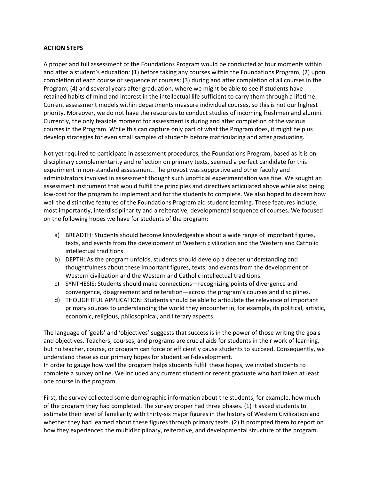## **ACTION STEPS**

A proper and full assessment of the Foundations Program would be conducted at four moments within and after a student's education: (1) before taking any courses within the Foundations Program; (2) upon completion of each course or sequence of courses; (3) during and after completion of all courses in the Program; (4) and several years after graduation, where we might be able to see if students have retained habits of mind and interest in the intellectual life sufficient to carry them through a lifetime. Current assessment models within departments measure individual courses, so this is not our highest priority. Moreover, we do not have the resources to conduct studies of incoming freshmen and alumni. Currently, the only feasible moment for assessment is during and after completion of the various courses in the Program. While this can capture only part of what the Program does, it might help us develop strategies for even small samples of students before matriculating and after graduating.

Not yet required to participate in assessment procedures, the Foundations Program, based as it is on disciplinary complementarity and reflection on primary texts, seemed a perfect candidate for this experiment in non-standard assessment. The provost was supportive and other faculty and administrators involved in assessment thought such unofficial experimentation was fine. We sought an assessment instrument that would fulfill the principles and directives articulated above while also being low-cost for the program to implement and for the students to complete. We also hoped to discern how well the distinctive features of the Foundations Program aid student learning. These features include, most importantly, interdisciplinarity and a reiterative, developmental sequence of courses. We focused on the following hopes we have for students of the program:

- a) BREADTH: Students should become knowledgeable about a wide range of important figures, texts, and events from the development of Western civilization and the Western and Catholic intellectual traditions.
- b) DEPTH: As the program unfolds, students should develop a deeper understanding and thoughtfulness about these important figures, texts, and events from the development of Western civilization and the Western and Catholic intellectual traditions.
- c) SYNTHESIS: Students should make connections—recognizing points of divergence and convergence, disagreement and reiteration—across the program's courses and disciplines.
- d) THOUGHTFUL APPLICATION: Students should be able to articulate the relevance of important primary sources to understanding the world they encounter in, for example, its political, artistic, economic, religious, philosophical, and literary aspects.

The language of 'goals' and 'objectives' suggests that success is in the power of those writing the goals and objectives. Teachers, courses, and programs are crucial aids for students in their work of learning, but no teacher, course, or program can force or efficiently cause students to succeed. Consequently, we understand these as our primary hopes for student self-development.

In order to gauge how well the program helps students fulfill these hopes, we invited students to complete a survey online. We included any current student or recent graduate who had taken at least one course in the program.

First, the survey collected some demographic information about the students, for example, how much of the program they had completed. The survey proper had three phases. (1) It asked students to estimate their level of familiarity with thirty-six major figures in the history of Western Civilization and whether they had learned about these figures through primary texts. (2) It prompted them to report on how they experienced the multidisciplinary, reiterative, and developmental structure of the program.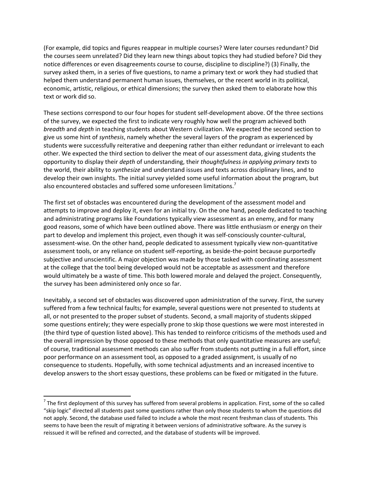(For example, did topics and figures reappear in multiple courses? Were later courses redundant? Did the courses seem unrelated? Did they learn new things about topics they had studied before? Did they notice differences or even disagreements course to course, discipline to discipline?) (3) Finally, the survey asked them, in a series of five questions, to name a primary text or work they had studied that helped them understand permanent human issues, themselves, or the recent world in its political, economic, artistic, religious, or ethical dimensions; the survey then asked them to elaborate how this text or work did so.

These sections correspond to our four hopes for student self-development above. Of the three sections of the survey, we expected the first to indicate very roughly how well the program achieved both *breadth* and *depth* in teaching students about Western civilization. We expected the second section to give us some hint of *synthesis*, namely whether the several layers of the program as experienced by students were successfully reiterative and deepening rather than either redundant or irrelevant to each other. We expected the third section to deliver the meat of our assessment data, giving students the opportunity to display their *depth* of understanding, their *thoughtfulness in applying primary texts* to the world, their ability to *synthesize* and understand issues and texts across disciplinary lines, and to develop their own insights. The initial survey yielded some useful information about the program, but also encountered obstacles and suffered some unforeseen limitations.<sup>7</sup>

The first set of obstacles was encountered during the development of the assessment model and attempts to improve and deploy it, even for an initial try. On the one hand, people dedicated to teaching and administrating programs like Foundations typically view assessment as an enemy, and for many good reasons, some of which have been outlined above. There was little enthusiasm or energy on their part to develop and implement this project, even though it was self-consciously counter-cultural, assessment-wise. On the other hand, people dedicated to assessment typically view non-quantitative assessment tools, or any reliance on student self-reporting, as beside-the-point because purportedly subjective and unscientific. A major objection was made by those tasked with coordinating assessment at the college that the tool being developed would not be acceptable as assessment and therefore would ultimately be a waste of time. This both lowered morale and delayed the project. Consequently, the survey has been administered only once so far.

Inevitably, a second set of obstacles was discovered upon administration of the survey. First, the survey suffered from a few technical faults; for example, several questions were not presented to students at all, or not presented to the proper subset of students. Second, a small majority of students skipped some questions entirely; they were especially prone to skip those questions we were most interested in (the third type of question listed above). This has tended to reinforce criticisms of the methods used and the overall impression by those opposed to these methods that only quantitative measures are useful; of course, traditional assessment methods can also suffer from students not putting in a full effort, since poor performance on an assessment tool, as opposed to a graded assignment, is usually of no consequence to students. Hopefully, with some technical adjustments and an increased incentive to develop answers to the short essay questions, these problems can be fixed or mitigated in the future.

 $<sup>7</sup>$  The first deployment of this survey has suffered from several problems in application. First, some of the so called</sup> "skip logic" directed all students past some questions rather than only those students to whom the questions did not apply. Second, the database used failed to include a whole the most recent freshman class of students. This seems to have been the result of migrating it between versions of administrative software. As the survey is reissued it will be refined and corrected, and the database of students will be improved.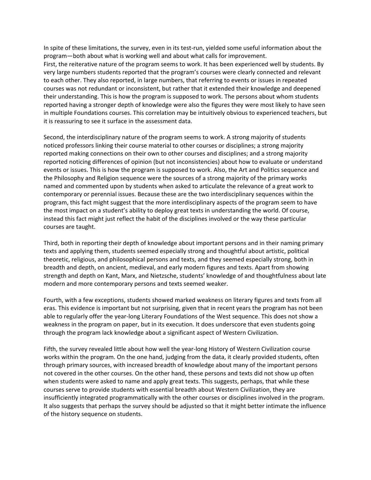In spite of these limitations, the survey, even in its test-run, yielded some useful information about the program—both about what is working well and about what calls for improvement. First, the reiterative nature of the program seems to work. It has been experienced well by students. By very large numbers students reported that the program's courses were clearly connected and relevant to each other. They also reported, in large numbers, that referring to events or issues in repeated courses was not redundant or inconsistent, but rather that it extended their knowledge and deepened their understanding. This is how the program is supposed to work. The persons about whom students reported having a stronger depth of knowledge were also the figures they were most likely to have seen in multiple Foundations courses. This correlation may be intuitively obvious to experienced teachers, but it is reassuring to see it surface in the assessment data.

Second, the interdisciplinary nature of the program seems to work. A strong majority of students noticed professors linking their course material to other courses or disciplines; a strong majority reported making connections on their own to other courses and disciplines; and a strong majority reported noticing differences of opinion (but not inconsistencies) about how to evaluate or understand events or issues. This is how the program is supposed to work. Also, the Art and Politics sequence and the Philosophy and Religion sequence were the sources of a strong majority of the primary works named and commented upon by students when asked to articulate the relevance of a great work to contemporary or perennial issues. Because these are the two interdisciplinary sequences within the program, this fact might suggest that the more interdisciplinary aspects of the program seem to have the most impact on a student's ability to deploy great texts in understanding the world. Of course, instead this fact might just reflect the habit of the disciplines involved or the way these particular courses are taught.

Third, both in reporting their depth of knowledge about important persons and in their naming primary texts and applying them, students seemed especially strong and thoughtful about artistic, political theoretic, religious, and philosophical persons and texts, and they seemed especially strong, both in breadth and depth, on ancient, medieval, and early modern figures and texts. Apart from showing strength and depth on Kant, Marx, and Nietzsche, students' knowledge of and thoughtfulness about late modern and more contemporary persons and texts seemed weaker.

Fourth, with a few exceptions, students showed marked weakness on literary figures and texts from all eras. This evidence is important but not surprising, given that in recent years the program has not been able to regularly offer the year-long Literary Foundations of the West sequence. This does not show a weakness in the program on paper, but in its execution. It does underscore that even students going through the program lack knowledge about a significant aspect of Western Civilization.

Fifth, the survey revealed little about how well the year-long History of Western Civilization course works within the program. On the one hand, judging from the data, it clearly provided students, often through primary sources, with increased breadth of knowledge about many of the important persons not covered in the other courses. On the other hand, these persons and texts did not show up often when students were asked to name and apply great texts. This suggests, perhaps, that while these courses serve to provide students with essential breadth about Western Civilization, they are insufficiently integrated programmatically with the other courses or disciplines involved in the program. It also suggests that perhaps the survey should be adjusted so that it might better intimate the influence of the history sequence on students.